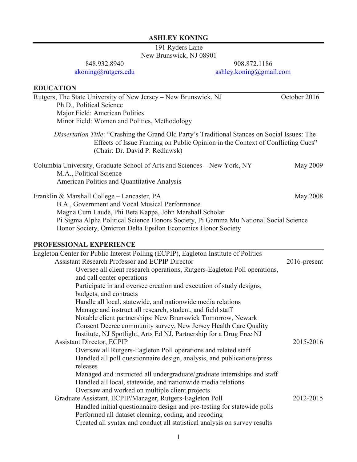#### **ASHLEY KONING**

191 Ryders Lane New Brunswick, NJ 08901

848.932.8940

[akoning@rutgers.edu](mailto:akoning@rutgers.edu)

908.872.1186 [ashley.koning@gmail.com](mailto:ashley.koning@gmail.com)

## **EDUCATION** Rutgers, The State University of New Jersey – New Brunswick, NJ October 2016 Ph.D., Political Science Major Field: American Politics Minor Field: Women and Politics, Methodology *Dissertation Title*: "Crashing the Grand Old Party's Traditional Stances on Social Issues: The Effects of Issue Framing on Public Opinion in the Context of Conflicting Cues" (Chair: Dr. David P. Redlawsk) Columbia University, Graduate School of Arts and Sciences – New York, NY May 2009 M.A., Political Science American Politics and Quantitative Analysis Franklin & Marshall College – Lancaster, PA May 2008 B.A., Government and Vocal Musical Performance Magna Cum Laude, Phi Beta Kappa, John Marshall Scholar Pi Sigma Alpha Political Science Honors Society, Pi Gamma Mu National Social Science Honor Society, Omicron Delta Epsilon Economics Honor Society **PROFESSIONAL EXPERIENCE** Eagleton Center for Public Interest Polling (ECPIP), Eagleton Institute of Politics Assistant Research Professor and ECPIP Director Oversee all client research operations, Rutgers-Eagleton Poll operations, and call center operations Participate in and oversee creation and execution of study designs, budgets, and contracts Handle all local, statewide, and nationwide media relations Manage and instruct all research, student, and field staff Notable client partnerships: New Brunswick Tomorrow, Newark Consent Decree community survey, New Jersey Health Care Quality Institute, NJ Spotlight, Arts Ed NJ, Partnership for a Drug Free NJ Assistant Director, ECPIP Oversaw all Rutgers-Eagleton Poll operations and related staff Handled all poll questionnaire design, analysis, and publications/press releases Managed and instructed all undergraduate/graduate internships and staff Handled all local, statewide, and nationwide media relations Oversaw and worked on multiple client projects Graduate Assistant, ECPIP/Manager, Rutgers-Eagleton Poll Handled initial questionnaire design and pre-testing for statewide polls Performed all dataset cleaning, coding, and recoding Created all syntax and conduct all statistical analysis on survey results 2016-present 2015-2016 2012-2015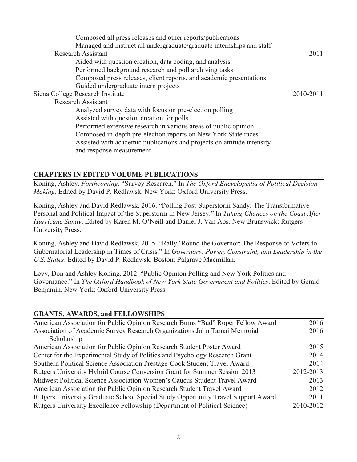| Composed all press releases and other reports/publications             |           |
|------------------------------------------------------------------------|-----------|
| Managed and instruct all undergraduate/graduate internships and staff  |           |
| <b>Research Assistant</b>                                              | 2011      |
| Aided with question creation, data coding, and analysis                |           |
| Performed background research and poll archiving tasks                 |           |
| Composed press releases, client reports, and academic presentations    |           |
| Guided undergraduate intern projects                                   |           |
| Siena College Research Institute                                       | 2010-2011 |
| Research Assistant                                                     |           |
| Analyzed survey data with focus on pre-election polling                |           |
| Assisted with question creation for polls                              |           |
| Performed extensive research in various areas of public opinion        |           |
| Composed in-depth pre-election reports on New York State races         |           |
| Assisted with academic publications and projects on attitude intensity |           |
| and response measurement                                               |           |
|                                                                        |           |

# **CHAPTERS IN EDITED VOLUME PUBLICATIONS**

Koning, Ashley. *Forthcoming*. "Survey Research." In *The Oxford Encyclopedia of Political Decision Making*. Edited by David P. Redlawsk. New York: Oxford University Press.

Koning, Ashley and David Redlawsk. 2016. "Polling Post-Superstorm Sandy: The Transformative Personal and Political Impact of the Superstorm in New Jersey." In *Taking Chances on the Coast After Hurricane Sandy*. Edited by Karen M. O'Neill and Daniel J. Van Abs. New Brunswick: Rutgers University Press.

Koning, Ashley and David Redlawsk. 2015. "Rally 'Round the Governor: The Response of Voters to Gubernatorial Leadership in Times of Crisis." In *Governors: Power, Constraint, and Leadership in the U.S. States*. Edited by David P. Redlawsk. Boston: Palgrave Macmillan.

Levy, Don and Ashley Koning. 2012. "Public Opinion Polling and New York Politics and Governance." In *The Oxford Handbook of New York State Government and Politics*. Edited by Gerald Benjamin. New York: Oxford University Press.

## **GRANTS, AWARDS, and FELLOWSHIPS**

| American Association for Public Opinion Research Burns "Bud" Roper Fellow Award   | 2016      |
|-----------------------------------------------------------------------------------|-----------|
| Association of Academic Survey Research Organizations John Tarnai Memorial        | 2016      |
| Scholarship                                                                       |           |
| American Association for Public Opinion Research Student Poster Award             | 2015      |
| Center for the Experimental Study of Politics and Psychology Research Grant       | 2014      |
| Southern Political Science Association Prestage-Cook Student Travel Award         | 2014      |
| Rutgers University Hybrid Course Conversion Grant for Summer Session 2013         | 2012-2013 |
| Midwest Political Science Association Women's Caucus Student Travel Award         | 2013      |
| American Association for Public Opinion Research Student Travel Award             | 2012      |
| Rutgers University Graduate School Special Study Opportunity Travel Support Award | 2011      |
| Rutgers University Excellence Fellowship (Department of Political Science)        | 2010-2012 |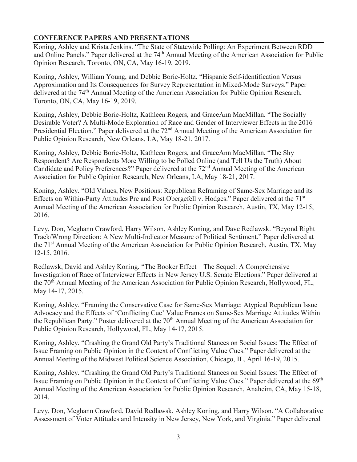## **CONFERENCE PAPERS AND PRESENTATIONS**

Koning, Ashley and Krista Jenkins. "The State of Statewide Polling: An Experiment Between RDD and Online Panels." Paper delivered at the 74<sup>th</sup> Annual Meeting of the American Association for Public Opinion Research, Toronto, ON, CA, May 16-19, 2019.

Koning, Ashley, William Young, and Debbie Borie-Holtz. "Hispanic Self-identification Versus Approximation and Its Consequences for Survey Representation in Mixed-Mode Surveys." Paper delivered at the 74<sup>th</sup> Annual Meeting of the American Association for Public Opinion Research, Toronto, ON, CA, May 16-19, 2019.

Koning, Ashley, Debbie Borie-Holtz, Kathleen Rogers, and GraceAnn MacMillan. "The Socially Desirable Voter? A Multi-Mode Exploration of Race and Gender of Interviewer Effects in the 2016 Presidential Election." Paper delivered at the 72<sup>nd</sup> Annual Meeting of the American Association for Public Opinion Research, New Orleans, LA, May 18-21, 2017.

Koning, Ashley, Debbie Borie-Holtz, Kathleen Rogers, and GraceAnn MacMillan. "The Shy Respondent? Are Respondents More Willing to be Polled Online (and Tell Us the Truth) About Candidate and Policy Preferences?" Paper delivered at the 72<sup>nd</sup> Annual Meeting of the American Association for Public Opinion Research, New Orleans, LA, May 18-21, 2017.

Koning, Ashley. "Old Values, New Positions: Republican Reframing of Same-Sex Marriage and its Effects on Within-Party Attitudes Pre and Post Obergefell v. Hodges." Paper delivered at the 71st Annual Meeting of the American Association for Public Opinion Research, Austin, TX, May 12-15, 2016.

Levy, Don, Meghann Crawford, Harry Wilson, Ashley Koning, and Dave Redlawsk. "Beyond Right Track/Wrong Direction: A New Multi-Indicator Measure of Political Sentiment." Paper delivered at the 71<sup>st</sup> Annual Meeting of the American Association for Public Opinion Research, Austin, TX, May 12-15, 2016.

Redlawsk, David and Ashley Koning. "The Booker Effect – The Sequel: A Comprehensive Investigation of Race of Interviewer Effects in New Jersey U.S. Senate Elections." Paper delivered at the 70th Annual Meeting of the American Association for Public Opinion Research, Hollywood, FL, May 14-17, 2015.

Koning, Ashley. "Framing the Conservative Case for Same-Sex Marriage: Atypical Republican Issue Advocacy and the Effects of 'Conflicting Cue' Value Frames on Same-Sex Marriage Attitudes Within the Republican Party." Poster delivered at the 70<sup>th</sup> Annual Meeting of the American Association for Public Opinion Research, Hollywood, FL, May 14-17, 2015.

Koning, Ashley. "Crashing the Grand Old Party's Traditional Stances on Social Issues: The Effect of Issue Framing on Public Opinion in the Context of Conflicting Value Cues." Paper delivered at the Annual Meeting of the Midwest Political Science Association, Chicago, IL, April 16-19, 2015.

Koning, Ashley. "Crashing the Grand Old Party's Traditional Stances on Social Issues: The Effect of Issue Framing on Public Opinion in the Context of Conflicting Value Cues." Paper delivered at the 69th Annual Meeting of the American Association for Public Opinion Research, Anaheim, CA, May 15-18, 2014.

Levy, Don, Meghann Crawford, David Redlawsk, Ashley Koning, and Harry Wilson. "A Collaborative Assessment of Voter Attitudes and Intensity in New Jersey, New York, and Virginia." Paper delivered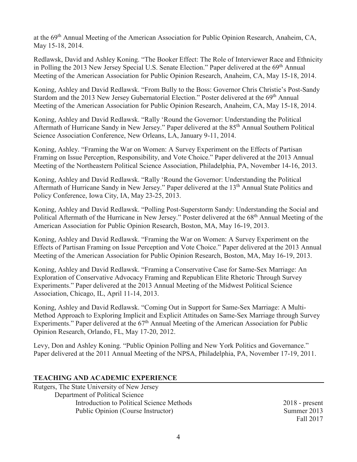at the 69th Annual Meeting of the American Association for Public Opinion Research, Anaheim, CA, May 15-18, 2014.

Redlawsk, David and Ashley Koning. "The Booker Effect: The Role of Interviewer Race and Ethnicity in Polling the 2013 New Jersey Special U.S. Senate Election." Paper delivered at the 69<sup>th</sup> Annual Meeting of the American Association for Public Opinion Research, Anaheim, CA, May 15-18, 2014.

Koning, Ashley and David Redlawsk. "From Bully to the Boss: Governor Chris Christie's Post-Sandy Stardom and the 2013 New Jersey Gubernatorial Election." Poster delivered at the 69<sup>th</sup> Annual Meeting of the American Association for Public Opinion Research, Anaheim, CA, May 15-18, 2014.

Koning, Ashley and David Redlawsk. "Rally 'Round the Governor: Understanding the Political Aftermath of Hurricane Sandy in New Jersey." Paper delivered at the 85<sup>th</sup> Annual Southern Political Science Association Conference, New Orleans, LA, January 9-11, 2014.

Koning, Ashley. "Framing the War on Women: A Survey Experiment on the Effects of Partisan Framing on Issue Perception, Responsibility, and Vote Choice." Paper delivered at the 2013 Annual Meeting of the Northeastern Political Science Association, Philadelphia, PA, November 14-16, 2013.

Koning, Ashley and David Redlawsk. "Rally 'Round the Governor: Understanding the Political Aftermath of Hurricane Sandy in New Jersey." Paper delivered at the 13<sup>th</sup> Annual State Politics and Policy Conference, Iowa City, IA, May 23-25, 2013.

Koning, Ashley and David Redlawsk. "Polling Post-Superstorm Sandy: Understanding the Social and Political Aftermath of the Hurricane in New Jersey." Poster delivered at the 68<sup>th</sup> Annual Meeting of the American Association for Public Opinion Research, Boston, MA, May 16-19, 2013.

Koning, Ashley and David Redlawsk. "Framing the War on Women: A Survey Experiment on the Effects of Partisan Framing on Issue Perception and Vote Choice." Paper delivered at the 2013 Annual Meeting of the American Association for Public Opinion Research, Boston, MA, May 16-19, 2013.

Koning, Ashley and David Redlawsk. "Framing a Conservative Case for Same-Sex Marriage: An Exploration of Conservative Advocacy Framing and Republican Elite Rhetoric Through Survey Experiments." Paper delivered at the 2013 Annual Meeting of the Midwest Political Science Association, Chicago, IL, April 11-14, 2013.

Koning, Ashley and David Redlawsk. "Coming Out in Support for Same-Sex Marriage: A Multi-Method Approach to Exploring Implicit and Explicit Attitudes on Same-Sex Marriage through Survey Experiments." Paper delivered at the  $67<sup>th</sup>$  Annual Meeting of the American Association for Public Opinion Research, Orlando, FL, May 17-20, 2012.

Levy, Don and Ashley Koning. "Public Opinion Polling and New York Politics and Governance." Paper delivered at the 2011 Annual Meeting of the NPSA, Philadelphia, PA, November 17-19, 2011.

## **TEACHING AND ACADEMIC EXPERIENCE**

Rutgers, The State University of New Jersey Department of Political Science Introduction to Political Science Methods Public Opinion (Course Instructor)

2018 - present Summer 2013 Fall 2017